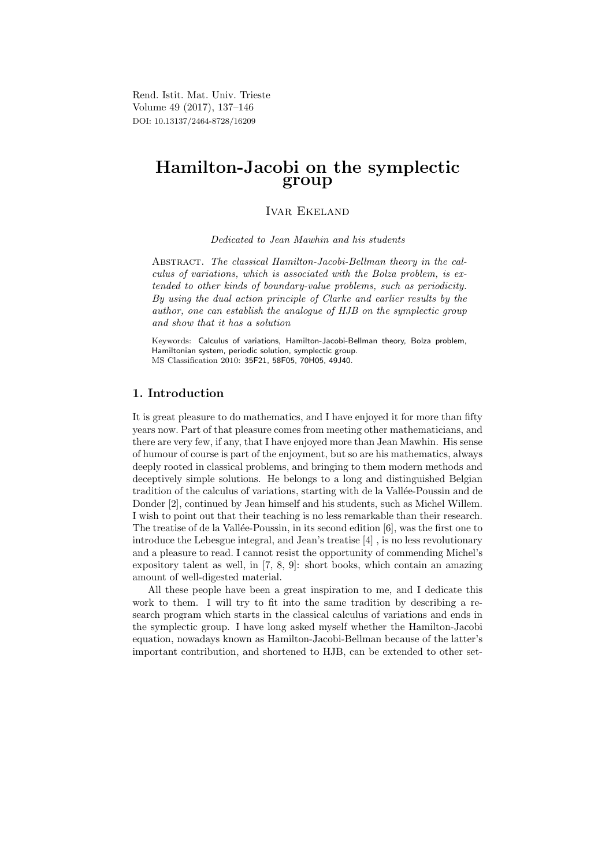Rend. Istit. Mat. Univ. Trieste Volume 49 (2017), 137–146 DOI: 10.13137/2464-8728/16209

# Hamilton-Jacobi on the symplectic group

# Ivar Ekeland

Dedicated to Jean Mawhin and his students

Abstract. The classical Hamilton-Jacobi-Bellman theory in the calculus of variations, which is associated with the Bolza problem, is extended to other kinds of boundary-value problems, such as periodicity. By using the dual action principle of Clarke and earlier results by the author, one can establish the analogue of HJB on the symplectic group and show that it has a solution

Keywords: Calculus of variations, Hamilton-Jacobi-Bellman theory, Bolza problem, Hamiltonian system, periodic solution, symplectic group. MS Classification 2010: 35F21, 58F05, 70H05, 49J40.

### 1. Introduction

It is great pleasure to do mathematics, and I have enjoyed it for more than fifty years now. Part of that pleasure comes from meeting other mathematicians, and there are very few, if any, that I have enjoyed more than Jean Mawhin. His sense of humour of course is part of the enjoyment, but so are his mathematics, always deeply rooted in classical problems, and bringing to them modern methods and deceptively simple solutions. He belongs to a long and distinguished Belgian tradition of the calculus of variations, starting with de la Vallée-Poussin and de Donder [2], continued by Jean himself and his students, such as Michel Willem. I wish to point out that their teaching is no less remarkable than their research. The treatise of de la Vallée-Poussin, in its second edition  $[6]$ , was the first one to introduce the Lebesgue integral, and Jean's treatise [4] , is no less revolutionary and a pleasure to read. I cannot resist the opportunity of commending Michel's expository talent as well, in [7, 8, 9]: short books, which contain an amazing amount of well-digested material.

All these people have been a great inspiration to me, and I dedicate this work to them. I will try to fit into the same tradition by describing a research program which starts in the classical calculus of variations and ends in the symplectic group. I have long asked myself whether the Hamilton-Jacobi equation, nowadays known as Hamilton-Jacobi-Bellman because of the latter's important contribution, and shortened to HJB, can be extended to other set-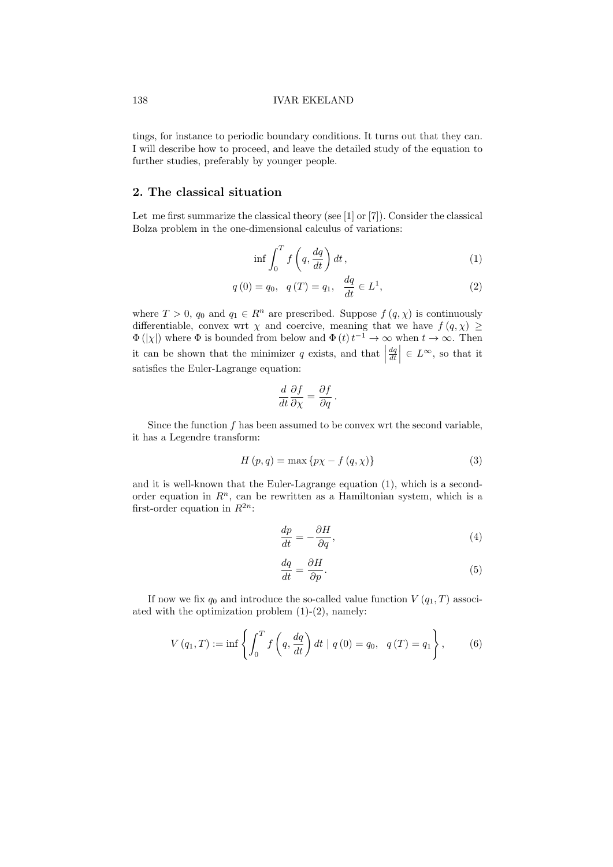tings, for instance to periodic boundary conditions. It turns out that they can. I will describe how to proceed, and leave the detailed study of the equation to further studies, preferably by younger people.

# 2. The classical situation

Let me first summarize the classical theory (see [1] or [7]). Consider the classical Bolza problem in the one-dimensional calculus of variations:

$$
\inf \int_0^T f\left(q, \frac{dq}{dt}\right) dt , \tag{1}
$$

$$
q(0) = q_0, \quad q(T) = q_1, \quad \frac{dq}{dt} \in L^1,
$$
 (2)

where  $T > 0$ ,  $q_0$  and  $q_1 \in R^n$  are prescribed. Suppose  $f(q, \chi)$  is continuously differentiable, convex wrt  $\chi$  and coercive, meaning that we have  $f(q, \chi) \ge$  $\Phi(|\chi|)$  where  $\Phi$  is bounded from below and  $\Phi(t) t^{-1} \to \infty$  when  $t \to \infty$ . Then it can be shown that the minimizer  $q$  exists, and that  $\left| \begin{array}{c} 1 & 0 \\ 0 & 0 \end{array} \right|$  $\left| \frac{dq}{dt} \right| \in L^{\infty}$ , so that it satisfies the Euler-Lagrange equation:

$$
\frac{d}{dt}\frac{\partial f}{\partial \chi} = \frac{\partial f}{\partial q}.
$$

Since the function  $f$  has been assumed to be convex wrt the second variable, it has a Legendre transform:

$$
H(p,q) = \max\{p\chi - f(q,\chi)\}\tag{3}
$$

and it is well-known that the Euler-Lagrange equation (1), which is a secondorder equation in  $R<sup>n</sup>$ , can be rewritten as a Hamiltonian system, which is a first-order equation in  $R^{2n}$ :

$$
\frac{dp}{dt} = -\frac{\partial H}{\partial q},\tag{4}
$$

$$
\frac{dq}{dt} = \frac{\partial H}{\partial p}.\tag{5}
$$

If now we fix  $q_0$  and introduce the so-called value function  $V(q_1, T)$  associated with the optimization problem  $(1)-(2)$ , namely:

$$
V(q_1, T) := \inf \left\{ \int_0^T f\left(q, \frac{dq}{dt}\right) dt \mid q(0) = q_0, \ q(T) = q_1 \right\},\tag{6}
$$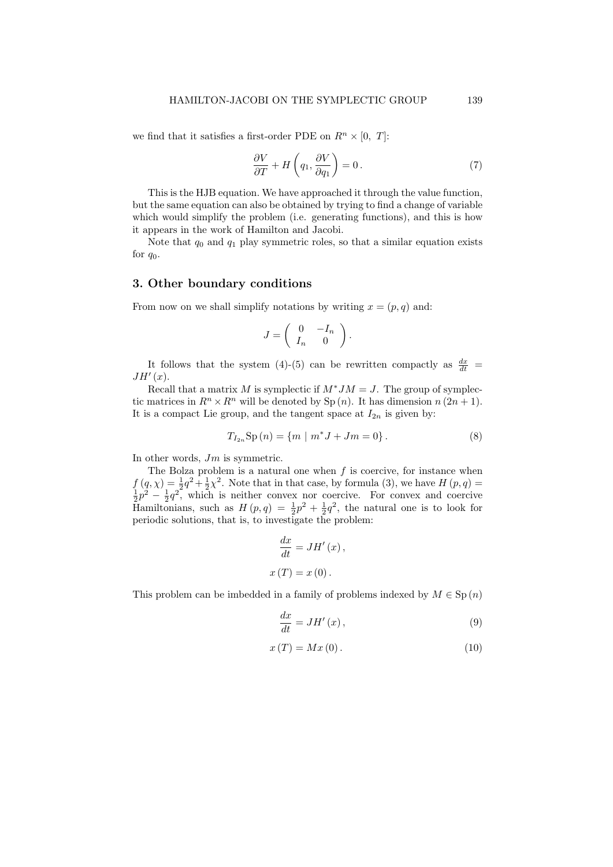we find that it satisfies a first-order PDE on  $R^n \times [0, T]$ :

$$
\frac{\partial V}{\partial T} + H\left(q_1, \frac{\partial V}{\partial q_1}\right) = 0.
$$
\n(7)

This is the HJB equation. We have approached it through the value function, but the same equation can also be obtained by trying to find a change of variable which would simplify the problem (i.e. generating functions), and this is how it appears in the work of Hamilton and Jacobi.

Note that  $q_0$  and  $q_1$  play symmetric roles, so that a similar equation exists for  $q_0$ .

### 3. Other boundary conditions

From now on we shall simplify notations by writing  $x = (p, q)$  and:

$$
J = \left( \begin{array}{cc} 0 & -I_n \\ I_n & 0 \end{array} \right).
$$

It follows that the system (4)-(5) can be rewritten compactly as  $\frac{dx}{dt}$  =  $JH'(x)$ .

Recall that a matrix M is symplectic if  $M^*JM = J$ . The group of symplectic matrices in  $R^n \times R^n$  will be denoted by Sp  $(n)$ . It has dimension  $n (2n + 1)$ . It is a compact Lie group, and the tangent space at  $I_{2n}$  is given by:

$$
T_{I_{2n}}\text{Sp}(n) = \{m \mid m^*J + Jm = 0\}.
$$
 (8)

In other words,  $Jm$  is symmetric.

The Bolza problem is a natural one when  $f$  is coercive, for instance when  $f(q, \chi) = \frac{1}{2}q^2 + \frac{1}{2}\chi^2$ . Note that in that case, by formula (3), we have  $H(p, q) = \frac{1}{2}p^2 - \frac{1}{2}q^2$ , which is neither convex nor coercive. For convex and coercive Hamiltonians, such as  $H(p,q) = \frac{1}{2}p^2 + \frac{1}{2}q^2$ , the natural one is to look for periodic solutions, that is, to investigate the problem:

$$
\frac{dx}{dt} = JH'(x),
$$
  

$$
x(T) = x(0).
$$

This problem can be imbedded in a family of problems indexed by  $M \in \mathrm{Sp}(n)$ 

$$
\frac{dx}{dt} = JH'(x) \,,\tag{9}
$$

$$
x(T) = Mx(0). \tag{10}
$$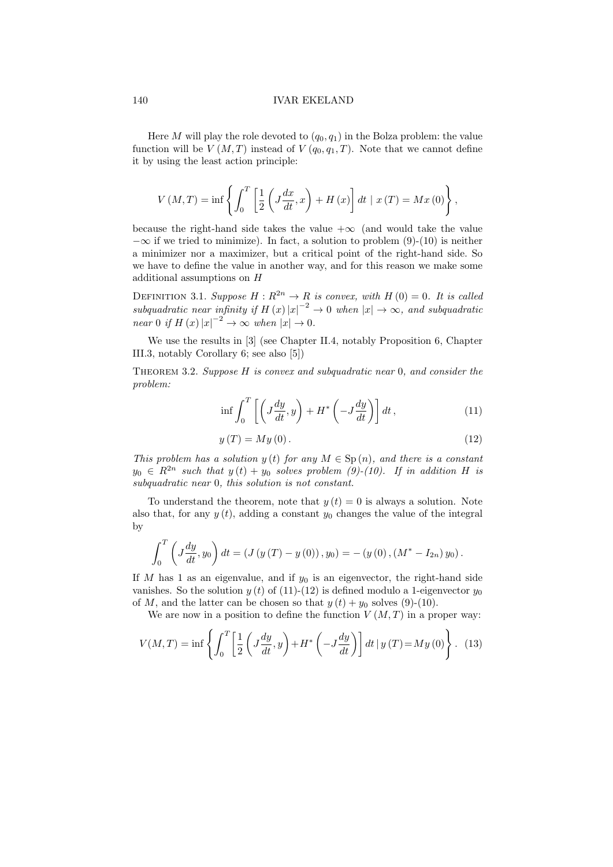#### 140 IVAR EKELAND

Here M will play the role devoted to  $(q_0, q_1)$  in the Bolza problem: the value function will be  $V(M,T)$  instead of  $V(q_0, q_1, T)$ . Note that we cannot define it by using the least action principle:

$$
V(M,T) = \inf \left\{ \int_0^T \left[ \frac{1}{2} \left( J \frac{dx}{dt}, x \right) + H(x) \right] dt \mid x(T) = Mx(0) \right\},\,
$$

because the right-hand side takes the value  $+\infty$  (and would take the value  $-\infty$  if we tried to minimize). In fact, a solution to problem (9)-(10) is neither a minimizer nor a maximizer, but a critical point of the right-hand side. So we have to define the value in another way, and for this reason we make some additional assumptions on H

DEFINITION 3.1. Suppose  $H: \mathbb{R}^{2n} \to \mathbb{R}$  is convex, with  $H(0) = 0$ . It is called subquadratic near infinity if  $H(x)|x|^{-2} \to 0$  when  $|x| \to \infty$ , and subquadratic near 0 if  $H(x)|x|^{-2} \to \infty$  when  $|x| \to 0$ .

We use the results in [3] (see Chapter II.4, notably Proposition 6, Chapter III.3, notably Corollary 6; see also [5])

Theorem 3.2. Suppose H is convex and subquadratic near 0, and consider the problem:

$$
\inf \int_0^T \left[ \left( J \frac{dy}{dt}, y \right) + H^* \left( -J \frac{dy}{dt} \right) \right] dt , \tag{11}
$$

$$
y(T) = My(0). \tag{12}
$$

This problem has a solution  $y(t)$  for any  $M \in Sp(n)$ , and there is a constant  $y_0 \in R^{2n}$  such that  $y(t) + y_0$  solves problem (9)-(10). If in addition H is subquadratic near 0, this solution is not constant.

To understand the theorem, note that  $y(t) = 0$  is always a solution. Note also that, for any  $y(t)$ , adding a constant  $y_0$  changes the value of the integral by

$$
\int_0^T \left( J \frac{dy}{dt}, y_0 \right) dt = \left( J \left( y \left( T \right) - y \left( 0 \right) \right), y_0 \right) = - \left( y \left( 0 \right), \left( M^* - I_{2n} \right) y_0 \right).
$$

If M has 1 as an eigenvalue, and if  $y_0$  is an eigenvector, the right-hand side vanishes. So the solution  $y(t)$  of (11)-(12) is defined modulo a 1-eigenvector  $y_0$ of M, and the latter can be chosen so that  $y(t) + y_0$  solves (9)-(10).

We are now in a position to define the function  $V(M,T)$  in a proper way:

$$
V(M,T) = \inf \left\{ \int_0^T \left[ \frac{1}{2} \left( J \frac{dy}{dt}, y \right) + H^* \left( -J \frac{dy}{dt} \right) \right] dt \, | \, y \left( T \right) = My \left( 0 \right) \right\}. \tag{13}
$$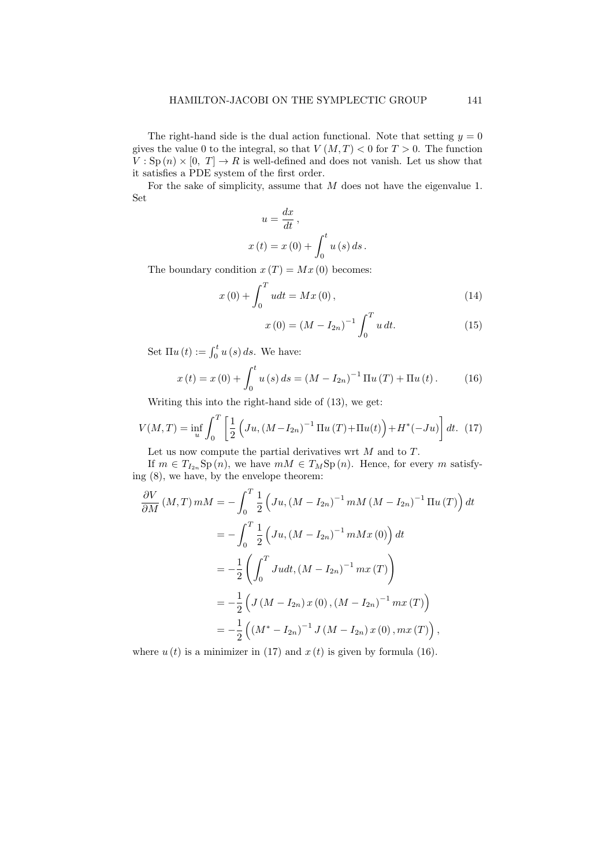The right-hand side is the dual action functional. Note that setting  $y = 0$ gives the value 0 to the integral, so that  $V(M, T) < 0$  for  $T > 0$ . The function  $V: \text{Sp}(n) \times [0, T] \to R$  is well-defined and does not vanish. Let us show that it satisfies a PDE system of the first order.

For the sake of simplicity, assume that M does not have the eigenvalue 1. Set

$$
u = \frac{dx}{dt},
$$
  

$$
x(t) = x(0) + \int_0^t u(s) ds.
$$

The boundary condition  $x(T) = Mx(0)$  becomes:

$$
x(0) + \int_0^T u dt = Mx(0),
$$
\n(14)

$$
x(0) = (M - I_{2n})^{-1} \int_0^T u \, dt. \tag{15}
$$

Set  $\Pi u(t) := \int_0^t u(s) ds$ . We have:

$$
x(t) = x(0) + \int_0^t u(s) ds = (M - I_{2n})^{-1} \Pi u(T) + \Pi u(t).
$$
 (16)

Writing this into the right-hand side of (13), we get:

$$
V(M,T) = \inf_{u} \int_0^T \left[ \frac{1}{2} \left( Ju, (M - I_{2n})^{-1} \Pi u(T) + \Pi u(t) \right) + H^*(-Ju) \right] dt. (17)
$$

Let us now compute the partial derivatives wrt  $M$  and to  $T$ . If  $m \in T_{I_{2n}}\text{Sp}(n)$ , we have  $mM \in T_M\text{Sp}(n)$ . Hence, for every m satisfy-

ing (8), we have, by the envelope theorem:  
\n
$$
\frac{\partial V}{\partial M}(M,T) \, mM = -\int_0^T \frac{1}{2} \left( Ju, (M - I_{2n})^{-1} \, mM \left( M - I_{2n} \right)^{-1} \Pi u \left( T \right) \right) dt
$$
\n
$$
= -\int_0^T \frac{1}{2} \left( Ju, (M - I_{2n})^{-1} \, mMx \left( 0 \right) \right) dt
$$
\n
$$
= -\frac{1}{2} \left( \int_0^T J u dt, (M - I_{2n})^{-1} \, mx \left( T \right) \right)
$$
\n
$$
= -\frac{1}{2} \left( J \left( M - I_{2n} \right) x \left( 0 \right), (M - I_{2n})^{-1} \, mx \left( T \right) \right)
$$
\n
$$
= -\frac{1}{2} \left( \left( M^* - I_{2n} \right)^{-1} J \left( M - I_{2n} \right) x \left( 0 \right), mx \left( T \right) \right),
$$

where  $u(t)$  is a minimizer in (17) and  $x(t)$  is given by formula (16).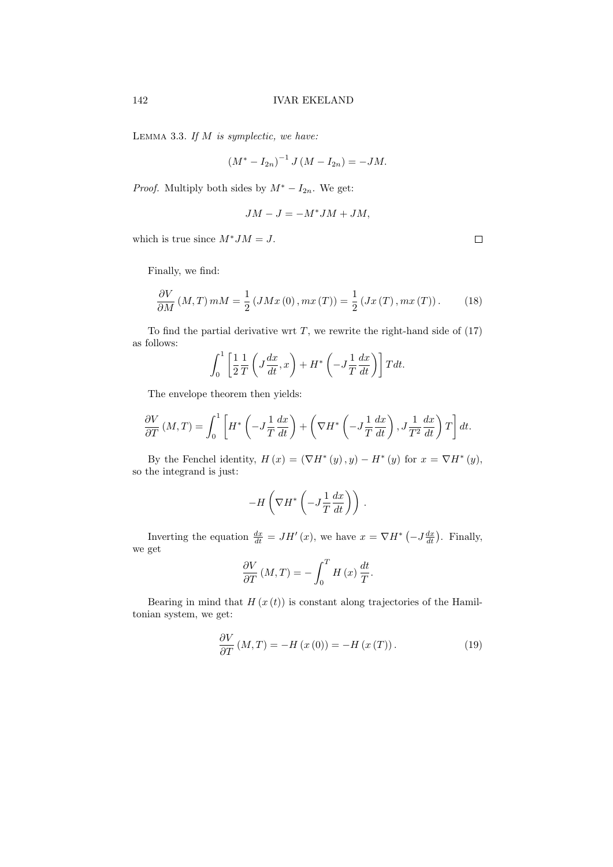LEMMA 3.3. If  $M$  is symplectic, we have:

$$
(M^* - I_{2n})^{-1} J (M - I_{2n}) = -JM.
$$

*Proof.* Multiply both sides by  $M^* - I_{2n}$ . We get:

$$
JM - J = -M^*JM + JM,
$$

which is true since  $M^*JM = J$ .

Finally, we find:

$$
\frac{\partial V}{\partial M}(M,T) \, mM = \frac{1}{2} \left( JMx(0), mx(T) \right) = \frac{1}{2} \left( Jx(T), mx(T) \right). \tag{18}
$$

To find the partial derivative wrt  $T$ , we rewrite the right-hand side of  $(17)$ as follows:

$$
\int_0^1 \left[ \frac{1}{2} \frac{1}{T} \left( J \frac{dx}{dt}, x \right) + H^* \left( -J \frac{1}{T} \frac{dx}{dt} \right) \right] T dt.
$$

The envelope theorem then yields:

$$
\frac{\partial V}{\partial T}(M,T) = \int_0^1 \left[ H^* \left( -J \frac{1}{T} \frac{dx}{dt} \right) + \left( \nabla H^* \left( -J \frac{1}{T} \frac{dx}{dt} \right), J \frac{1}{T^2} \frac{dx}{dt} \right) T \right] dt.
$$

By the Fenchel identity,  $H(x) = (\nabla H^*(y), y) - H^*(y)$  for  $x = \nabla H^*(y)$ , so the integrand is just:

$$
-H\left(\nabla H^*\left(-J\frac{1}{T}\frac{dx}{dt}\right)\right).
$$

Inverting the equation  $\frac{dx}{dt} = JH'(x)$ , we have  $x = \nabla H^*(-J\frac{dx}{dt})$ . Finally, we get

$$
\frac{\partial V}{\partial T}(M,T) = -\int_0^T H(x) \frac{dt}{T}.
$$

Bearing in mind that  $H(x(t))$  is constant along trajectories of the Hamiltonian system, we get:

$$
\frac{\partial V}{\partial T}(M,T) = -H(x(0)) = -H(x(T)).\tag{19}
$$

 $\Box$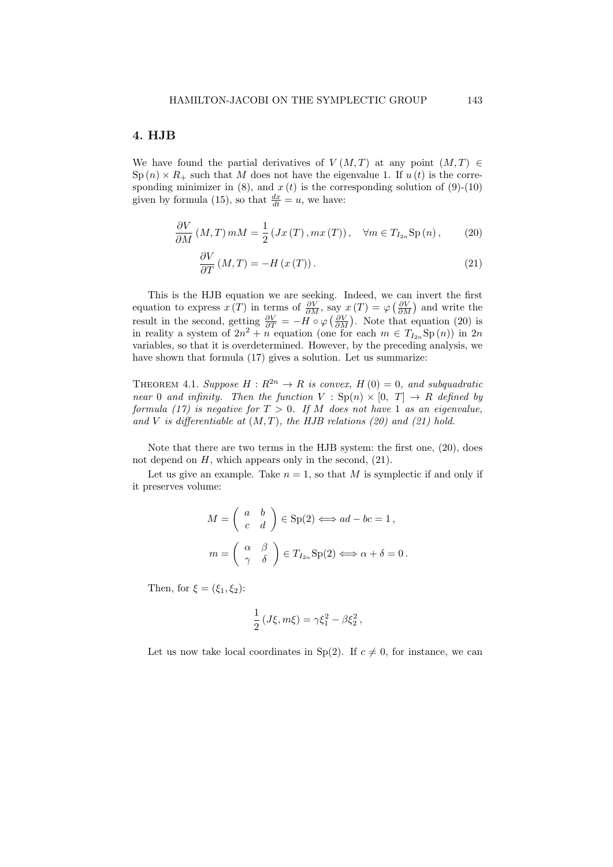### 4. HJB

We have found the partial derivatives of  $V(M,T)$  at any point  $(M,T) \in$  $\text{Sp}(n) \times R_+$  such that M does not have the eigenvalue 1. If  $u(t)$  is the corresponding minimizer in  $(8)$ , and  $x(t)$  is the corresponding solution of  $(9)-(10)$ given by formula (15), so that  $\frac{dx}{dt} = u$ , we have:

$$
\frac{\partial V}{\partial M}(M,T) \, mM = \frac{1}{2} \left( Jx\left(T\right), mx\left(T\right) \right), \quad \forall m \in T_{I_{2n}} \text{Sp}\left(n\right),\tag{20}
$$

$$
\frac{\partial V}{\partial T}(M,T) = -H\left(x\left(T\right)\right). \tag{21}
$$

This is the HJB equation we are seeking. Indeed, we can invert the first equation to express  $x(T)$  in terms of  $\frac{\partial V}{\partial M}$ , say  $x(T) = \varphi\left(\frac{\partial V}{\partial M}\right)$  and write the result in the second, getting  $\frac{\partial V}{\partial T} = -H \circ \varphi \left( \frac{\partial V}{\partial M} \right)$ . Note that equation (20) is in reality a system of  $2n^2 + n$  equation (one for each  $m \in T_{I_{2n}}Sp(n)$ ) in  $2n$ variables, so that it is overdetermined. However, by the preceding analysis, we have shown that formula (17) gives a solution. Let us summarize:

THEOREM 4.1. Suppose  $H: \mathbb{R}^{2n} \to \mathbb{R}$  is convex,  $H(0) = 0$ , and subquadratic near 0 and infinity. Then the function  $V : Sp(n) \times [0, T] \rightarrow R$  defined by formula (17) is negative for  $T > 0$ . If M does not have 1 as an eigenvalue, and V is differentiable at  $(M, T)$ , the HJB relations (20) and (21) hold.

Note that there are two terms in the HJB system: the first one, (20), does not depend on  $H$ , which appears only in the second,  $(21)$ .

Let us give an example. Take  $n = 1$ , so that M is symplectic if and only if it preserves volume:

$$
M = \begin{pmatrix} a & b \\ c & d \end{pmatrix} \in \text{Sp}(2) \iff ad - bc = 1,
$$
  

$$
m = \begin{pmatrix} \alpha & \beta \\ \gamma & \delta \end{pmatrix} \in T_{I_{2n}}\text{Sp}(2) \iff \alpha + \delta = 0.
$$

Then, for  $\xi = (\xi_1, \xi_2)$ :

$$
\frac{1}{2} (J\xi, m\xi) = \gamma \xi_1^2 - \beta \xi_2^2 ,
$$

Let us now take local coordinates in Sp(2). If  $c \neq 0$ , for instance, we can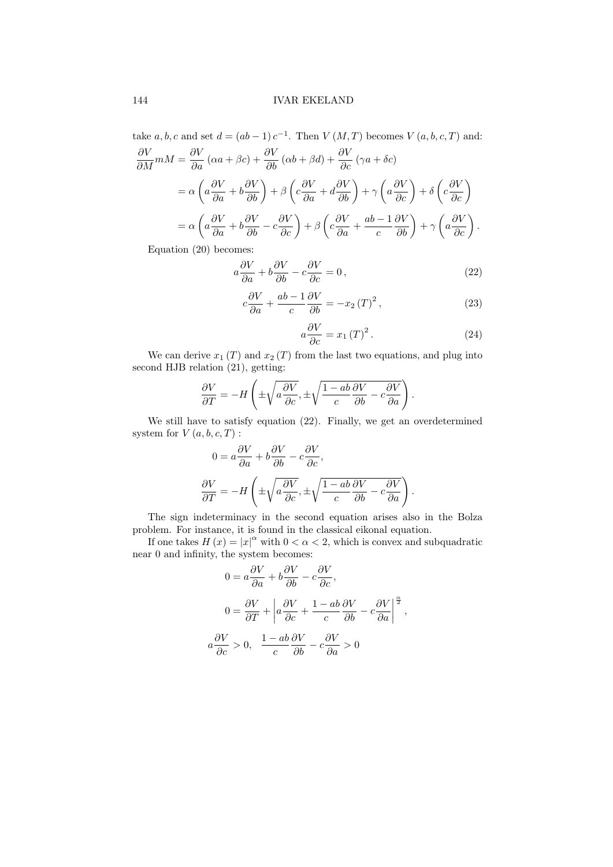take  $a, b, c$  and set  $d = (ab - 1) c^{-1}$ . Then  $V(M, T)$  becomes  $V(a, b, c, T)$  and:

$$
\frac{\partial V}{\partial M} m M = \frac{\partial V}{\partial a} (\alpha a + \beta c) + \frac{\partial V}{\partial b} (\alpha b + \beta d) + \frac{\partial V}{\partial c} (\gamma a + \delta c)
$$
  
=  $\alpha \left( a \frac{\partial V}{\partial a} + b \frac{\partial V}{\partial b} \right) + \beta \left( c \frac{\partial V}{\partial a} + d \frac{\partial V}{\partial b} \right) + \gamma \left( a \frac{\partial V}{\partial c} \right) + \delta \left( c \frac{\partial V}{\partial c} \right)$   
=  $\alpha \left( a \frac{\partial V}{\partial a} + b \frac{\partial V}{\partial b} - c \frac{\partial V}{\partial c} \right) + \beta \left( c \frac{\partial V}{\partial a} + \frac{ab - 1}{c} \frac{\partial V}{\partial b} \right) + \gamma \left( a \frac{\partial V}{\partial c} \right).$ 

Equation (20) becomes:

$$
a\frac{\partial V}{\partial a} + b\frac{\partial V}{\partial b} - c\frac{\partial V}{\partial c} = 0,
$$
\n(22)

$$
c\frac{\partial V}{\partial a} + \frac{ab - 1}{c}\frac{\partial V}{\partial b} = -x_2(T)^2, \qquad (23)
$$

$$
a\frac{\partial V}{\partial c} = x_1(T)^2.
$$
 (24)

We can derive  $x_1(T)$  and  $x_2(T)$  from the last two equations, and plug into second HJB relation (21), getting:

$$
\frac{\partial V}{\partial T} = -H\left(\pm\sqrt{a\frac{\partial V}{\partial c}}, \pm\sqrt{\frac{1-ab}{c}\frac{\partial V}{\partial b} - c\frac{\partial V}{\partial a}}\right).
$$

We still have to satisfy equation (22). Finally, we get an overdetermined system for  $V(a, b, c, T)$ :

$$
0 = a \frac{\partial V}{\partial a} + b \frac{\partial V}{\partial b} - c \frac{\partial V}{\partial c},
$$

$$
\frac{\partial V}{\partial T} = -H \left( \pm \sqrt{a \frac{\partial V}{\partial c}}, \pm \sqrt{\frac{1 - ab}{c} \frac{\partial V}{\partial b} - c \frac{\partial V}{\partial a}} \right).
$$

The sign indeterminacy in the second equation arises also in the Bolza problem. For instance, it is found in the classical eikonal equation.

If one takes  $H(x) = |x|^\alpha$  with  $0 < \alpha < 2$ , which is convex and subquadratic near 0 and infinity, the system becomes:

$$
0 = a\frac{\partial V}{\partial a} + b\frac{\partial V}{\partial b} - c\frac{\partial V}{\partial c},
$$
  

$$
0 = \frac{\partial V}{\partial T} + \left| a\frac{\partial V}{\partial c} + \frac{1 - ab}{c}\frac{\partial V}{\partial b} - c\frac{\partial V}{\partial a} \right|^{\frac{\alpha}{2}},
$$
  

$$
a\frac{\partial V}{\partial c} > 0, \quad \frac{1 - ab}{c}\frac{\partial V}{\partial b} - c\frac{\partial V}{\partial a} > 0
$$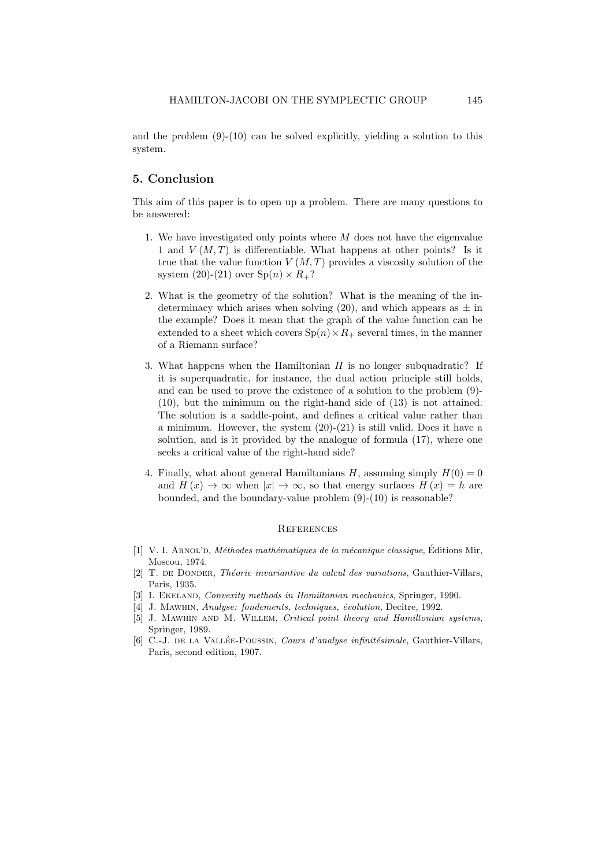and the problem  $(9)-(10)$  can be solved explicitly, yielding a solution to this system.

### 5. Conclusion

This aim of this paper is to open up a problem. There are many questions to be answered:

- 1. We have investigated only points where  $M$  does not have the eigenvalue 1 and  $V(M,T)$  is differentiable. What happens at other points? Is it true that the value function  $V(M,T)$  provides a viscosity solution of the system (20)-(21) over  $\text{Sp}(n) \times R_+$ ?
- 2. What is the geometry of the solution? What is the meaning of the indeterminacy which arises when solving (20), and which appears as  $\pm$  in the example? Does it mean that the graph of the value function can be extended to a sheet which covers  $Sp(n) \times R_+$  several times, in the manner of a Riemann surface?
- 3. What happens when the Hamiltonian  $H$  is no longer subquadratic? If it is superquadratic, for instance, the dual action principle still holds, and can be used to prove the existence of a solution to the problem (9)- (10), but the minimum on the right-hand side of (13) is not attained. The solution is a saddle-point, and defines a critical value rather than a minimum. However, the system  $(20)-(21)$  is still valid. Does it have a solution, and is it provided by the analogue of formula (17), where one seeks a critical value of the right-hand side?
- 4. Finally, what about general Hamiltonians H, assuming simply  $H(0) = 0$ and  $H(x) \to \infty$  when  $|x| \to \infty$ , so that energy surfaces  $H(x) = h$  are bounded, and the boundary-value problem (9)-(10) is reasonable?

#### **REFERENCES**

- [1] V. I. ARNOL'D, Méthodes mathématiques de la mécanique classique, Éditions Mir, Moscou, 1974.
- [2] T. DE DONDER, Théorie invariantive du calcul des variations, Gauthier-Villars, Paris, 1935.
- [3] I. EKELAND, *Convexity methods in Hamiltonian mechanics*, Springer, 1990.
- [4] J. MAWHIN, Analyse: fondements, techniques, évolution, Decitre, 1992.
- [5] J. Mawhin and M. Willem, Critical point theory and Hamiltonian systems, Springer, 1989.
- [6] C.-J. DE LA VALLÉE-POUSSIN, Cours d'analyse infinitésimale, Gauthier-Villars, Paris, second edition, 1907.